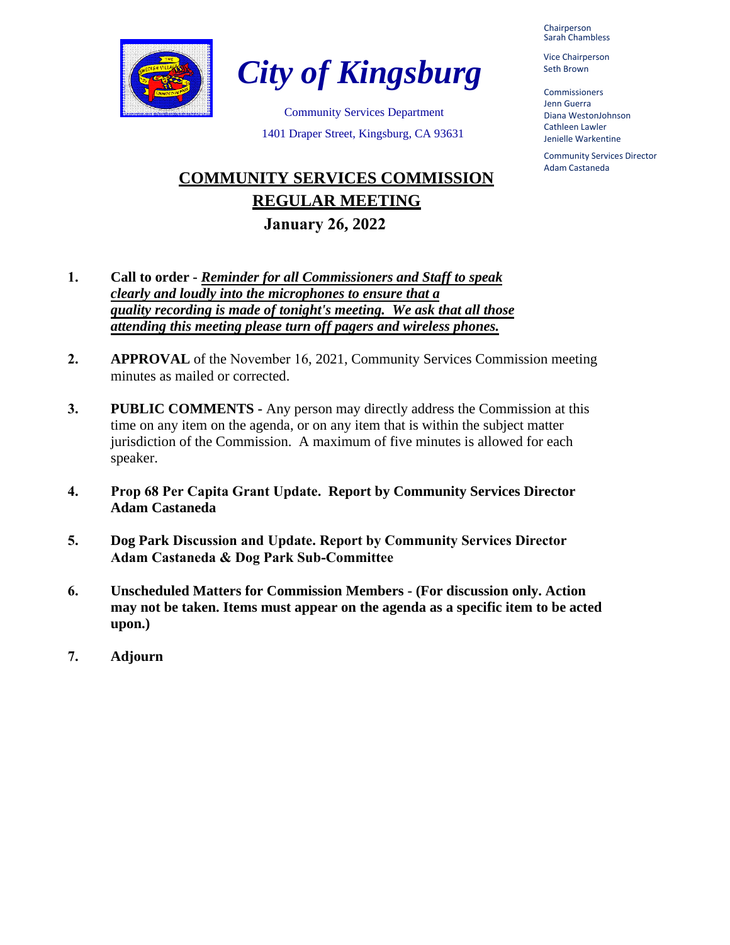

*City of Kingsburg*

Community Services Department 1401 Draper Street, Kingsburg, CA 93631

# **COMMUNITY SERVICES COMMISSION REGULAR MEETING January 26, 2022**

- **1. Call to order** *Reminder for all Commissioners and Staff to speak clearly and loudly into the microphones to ensure that a quality recording is made of tonight's meeting. We ask that all those attending this meeting please turn off pagers and wireless phones.*
- **2. APPROVAL** of the November 16, 2021, Community Services Commission meeting minutes as mailed or corrected.
- **3. PUBLIC COMMENTS -** Any person may directly address the Commission at this time on any item on the agenda, or on any item that is within the subject matter jurisdiction of the Commission. A maximum of five minutes is allowed for each speaker.
- **4. Prop 68 Per Capita Grant Update. Report by Community Services Director Adam Castaneda**
- **5. Dog Park Discussion and Update. Report by Community Services Director Adam Castaneda & Dog Park Sub-Committee**
- **6. Unscheduled Matters for Commission Members (For discussion only. Action may not be taken. Items must appear on the agenda as a specific item to be acted upon.)**
- **7. Adjourn**

Chairperson Sarah Chambless

Vice Chairperson Seth Brown

Commissioners Jenn Guerra Diana WestonJohnson Cathleen Lawler Jenielle Warkentine

Community Services Director Adam Castaneda